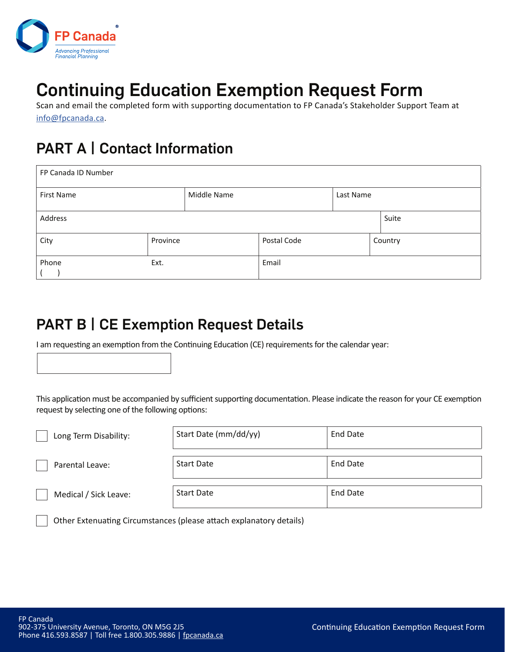

# Continuing Education Exemption Request Form

Scan and email the completed form with supporting documentation to FP Canada's Stakeholder Support Team at info@fpcanada.ca.

### PART A | Contact Information

| FP Canada ID Number |          |             |             |           |         |  |  |  |
|---------------------|----------|-------------|-------------|-----------|---------|--|--|--|
| First Name          |          | Middle Name |             | Last Name |         |  |  |  |
| Address             |          |             |             | Suite     |         |  |  |  |
| City                | Province |             | Postal Code |           | Country |  |  |  |
| Phone               | Ext.     |             | Email       |           |         |  |  |  |

#### PART B | CE Exemption Request Details

I am requesting an exemption from the Continuing Education (CE) requirements for the calendar year:

This application must be accompanied by sufficient supporting documentation. Please indicate the reason for your CE exemption request by selecting one of the following options:

| Long Term Disability: | Start Date (mm/dd/yy) | <b>End Date</b> |  |  |
|-----------------------|-----------------------|-----------------|--|--|
| Parental Leave:       | <b>Start Date</b>     | <b>End Date</b> |  |  |
| Medical / Sick Leave: | <b>Start Date</b>     | <b>End Date</b> |  |  |
|                       |                       |                 |  |  |

Other Extenuating Circumstances (please attach explanatory details)